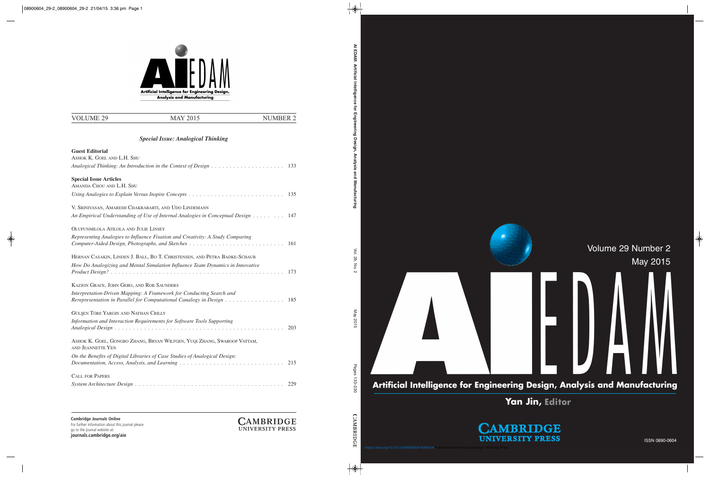

Artificial Intelligence for Engineering Design, Analysis and Manufacturing

**Yan Jin,**

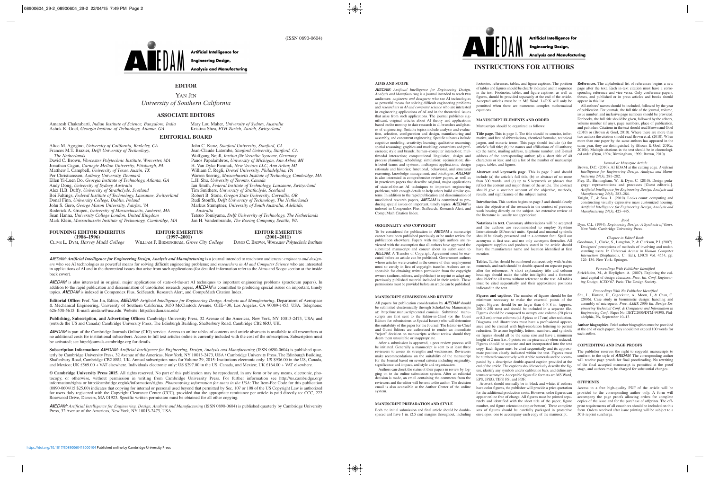

**Artificial Intelligence for Engineering Design,** 

**Analysis and Manufacturing** 

## **EDITOR**

YAN JIN *University of Southern California*

## **ASSOCIATE EDITORS**

Amaresh Chakrabarti, *Indian Institute of Science, Bangalore, India* Ashok K. Goel, *Georgia Institute of Technology, Atlanta, GA*

Mary Lou Maher, *University of Sydney, Australia* Kristina Shea, *ETH Zurich, Zurich, Switzerland*

#### **EDITORIAL BOARD**

Alice M. Agogino, *University of California, Berkeley, CA* Frances M.T. Brazier, *Delft University of Technology, The Netherlands*  David C. Brown, *Worcester Polytechnic Institute, Worcester, MA* Jonathan Cagan, *Carnegie Mellon University, Pittsburgh, PA* Matthew I. Campbell, *University of Texas, Austin, TX* Per Christiansson, *Aalborg University, Denmark* Ellen Yi-Luen Do, *Georgia Institute of Technology, Atlanta, GA* Andy Dong, *University of Sydney, Australia*  Alex H.B. Duffy, *University of Strathclyde, Scotland* Boi Faltings, *Federal Institute of Technology, Lausanne, Switzerland* Donal Finn, *University College, Dublin, Ireland* John S. Gero, *George Mason University, Fairfax, VA* Roderick A. Grupen, *University of Massachusetts, Amherst, MA* Sean Hanna, *University College London, United Kingdom* Mark Klein, *Massachusetts Institute of Technology, Cambridge, MA*

John C. Kunz, *Stanford University, Stanford, CA* Jean-Claude Latombe, *Stanford University, Stanford, CA* Wolfgang Nejdl, *Institut für Verteilte Systeme, Germany* Panos Papalambros, *University of Michigan, Ann Arbor, MI* H. Van Dyke Parunak, *New Vectors LLC, Ann Arbor, MI* William C. Regli, *Drexel University, Philadelphia, PA* Warren Seering, *Massachusetts Institute of Technology, Cambridge, MA* L.H. Shu, *University of Toronto, Canada* Ian Smith, *Federal Institute of Technology, Lausanne, Switzerland* Tim Smithers, *University of Strathclyde, Scotland* Robert B. Stone, *Oregon State University, Corvallis, OR* Rudi Stouffs, *Delft University of Technology, The Netherlands* Markus Stumptner, *University of South Australia, Adelaide, Australia* Tetsuo Tomiyama, *Delft University of Technology, The Netherlands*

Jan H. Vandenbrande, *The Boeing Company, Seattle, WA*

#### **FOUNDING EDITOR EMERITUS (1986–1996)**

**EDITOR EMERITUS (1997–2001)**

CLIVE L. DYM, *Harvey Mudd College* WILLIAM P. BIRMINGHAM, *Grove City College*

**EDITOR EMERITUS (2001–2011)** DAVID C. BROWN, *Worcester Polytechnic Institute*

**AI**EDAM: *Artificial Intelligence for Engineering Design, Analysis and Manufacturing* is a journal intended to reach two audiences: *engineers and designers* who see AI technologies as powerful means for solving difficult engineering problems; and *researchers in AI and Computer Science* who are interested in applications of AI and in the theoretical issues that arise from such applications (for detailed information refer to the Aims and Scope section at the inside back cover).

**AI**EDAM is also interested in original, major applications of state-of-the-art AI techniques to important engineering problems (practicum papers). In addition to the rapid publication and dissemination of unsolicited research papers, **AIEDAM** is committed to producing special issues on important, timely topics. **AI**EDAM is indexed in Compendex Plus, SciSearch, Research Alert, and CompuMath Citation Index.

**Editorial Office:** Prof. Yan Jin, Editor, **AI**EDAM*: Artificial Intelligence for Engineering Design, Analysis and Manufacturing*, Department of Aerospace & Mechanical Engineering, University of Southern California, 3650 McClintock Avenue, OHE-430, Los Angeles, CA 90089-1453, USA. Telephone: 626-538-5615. E-mail: aiedam@usc.edu. Website: http://aiedam.usc.edu/

**Publishing, Subscription, and Advertising Offices:** Cambridge University Press, 32 Avenue of the Americas, New York, NY 10013-2473, USA; and (outside the US and Canada) Cambridge University Press, The Edinburgh Building, Shaftesbury Road, Cambridge CB2 8RU, UK.

**AI**EDAM is part of the Cambridge Journals Online (CJO) service. Access to online tables of contents and article abstracts is available to all researchers at no additional costs for institutional subscribers. Access to full text articles online is currently included with the cost of the subscription. Subscription must be activated; see http://journals.cambridge.org for details.

**Subscription Information: AI**EDAM: *Artificial Intelligence for Engineering, Design, Analysis and Manufacturing* (ISSN 0890-0604) is published quarterly by Cambridge University Press, 32 Avenue of the Americas, New York, NY 10013-2473, USA / Cambridge University Press, The Edinburgh Building, Shaftesbury Road, Cambridge CB2 8RU, UK. Annual subscription rates for Volume 29, 2015: Institutions electronic only: US \$936.00 in the US, Canada, and Mexico; UK £569.00 + VAT elsewhere. Individuals electronic only: US \$297.00 in the US, Canada, and Mexico; UK £164.00 + VAT elsewhere.

© Cambridge University Press 2015. All rights reserved. No part of this publication may be reproduced, in any form or by any means, electronic, photocopy, or otherwise, without permission in writing from Cambridge University Press. For further information see http://us.cambridge.org/ information/rights or http://cambridge.org/uk/information/rights. *Photocopying information for users in the USA*: The Item-Fee Code for this publication (0890-0604/15 \$25.00) indicates that copying for internal or personal used beyond that permitted by Sec. 107 or 108 of the US Copyright Law is authorized for users duly registered with the Copyright Clearance Center (CCC), provided that the appropriate remittance per article is paid directly to: CCC, 222 Rosewood Drive, Danvers, MA 01923. Specific written permission must be obtained for all other copying.

**AI**EDAM: *Artificial Intelligence for Engineering, Design, Analysis and Manufacturing* (ISSN 0890-0604) is published quarterly by Cambridge University Press, 32 Avenue of the Americas, New York, NY 10013-2473, USA.